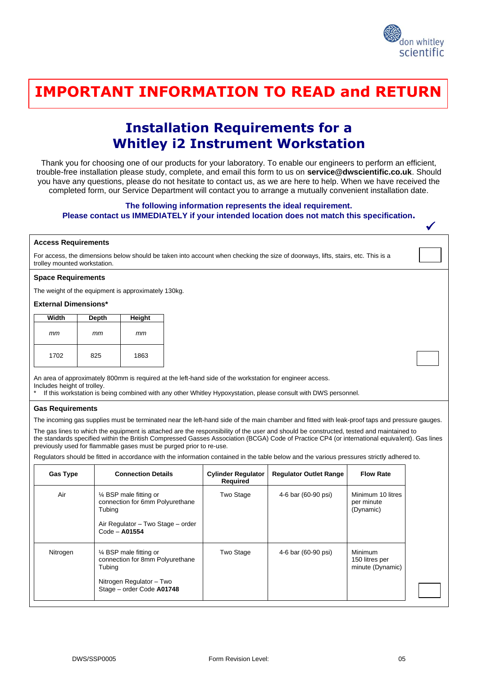

✓

### <u>THANK YOU FOR THINKING WITH THINKING WITH THINKING WITH TH</u> **IMPORTANT INFORMATION TO READ and RETURN**

## **Installation Requirements for a Whitley i2 Instrument Workstation**

Thank you for choosing one of our products for your laboratory. To enable our engineers to perform an efficient, trouble-free installation please study, complete, and email this form to us on **service@dwscientific.co.uk**. Should you have any questions, please do not hesitate to contact us, as we are here to help. When we have received the completed form, our Service Department will contact you to arrange a mutually convenient installation date.

#### **The following information represents the ideal requirement.**

#### **Please contact us IMMEDIATELY if your intended location does not match this specification.**

#### **Access Requirements**

For access, the dimensions below should be taken into account when checking the size of doorways, lifts, stairs, etc. This is a trolley mounted workstation.

#### **Space Requirements**

The weight of the equipment is approximately 130kg.

#### **External Dimensions\***

| Width | Depth | Height |  |
|-------|-------|--------|--|
| mт    | mт    | mт     |  |
| 1702  | 825   | 1863   |  |

An area of approximately 800mm is required at the left-hand side of the workstation for engineer access. Includes height of trolley.

If this workstation is being combined with any other Whitley Hypoxystation, please consult with DWS personnel.

#### **Gas Requirements**

The incoming gas supplies must be terminated near the left-hand side of the main chamber and fitted with leak-proof taps and pressure gauges.

The gas lines to which the equipment is attached are the responsibility of the user and should be constructed, tested and maintained to the standards specified within the British Compressed Gasses Association (BCGA) Code of Practice CP4 (or international equivalent). Gas lines previously used for flammable gases must be purged prior to re-use.

Regulators should be fitted in accordance with the information contained in the table below and the various pressures strictly adhered to.

| <b>Gas Type</b> | <b>Connection Details</b>                                                                                                               | <b>Cylinder Regulator</b><br><b>Required</b> | <b>Regulator Outlet Range</b> | <b>Flow Rate</b>                                     |
|-----------------|-----------------------------------------------------------------------------------------------------------------------------------------|----------------------------------------------|-------------------------------|------------------------------------------------------|
| Air             | 1⁄4 BSP male fitting or<br>connection for 6mm Polyurethane<br>Tubing<br>Air Regulator - Two Stage - order<br>$Code - A01554$            | Two Stage                                    | 4-6 bar (60-90 psi)           | Minimum 10 litres<br>per minute<br>(Dynamic)         |
| Nitrogen        | $\frac{1}{4}$ BSP male fitting or<br>connection for 8mm Polyurethane<br>Tubing<br>Nitrogen Regulator - Two<br>Stage - order Code A01748 | Two Stage                                    | 4-6 bar (60-90 psi)           | <b>Minimum</b><br>150 litres per<br>minute (Dynamic) |